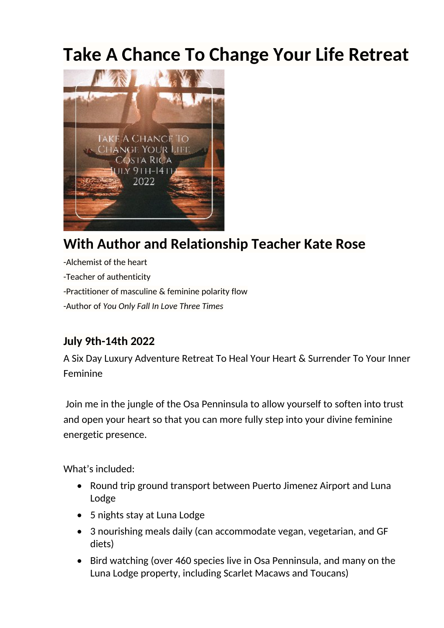# **Take A Chance To Change Your Life Retreat**



# **With Author and Relationship Teacher Kate Rose**

-Alchemist of the heart -Teacher of authenticity -Practitioner of masculine & feminine polarity flow -Author of *You Only Fall In Love Three Times*

## **July 9th-14th 2022**

A Six Day Luxury Adventure Retreat To Heal Your Heart & Surrender To Your Inner Feminine

Join me in the jungle of the Osa Penninsula to allow yourself to soften into trust and open your heart so that you can more fully step into your divine feminine energetic presence.

What's included:

- Round trip ground transport between Puerto Jimenez Airport and Luna Lodge
- 5 nights stay at Luna Lodge
- 3 nourishing meals daily (can accommodate vegan, vegetarian, and GF diets)
- Bird watching (over 460 species live in Osa Penninsula, and many on the Luna Lodge property, including Scarlet Macaws and Toucans)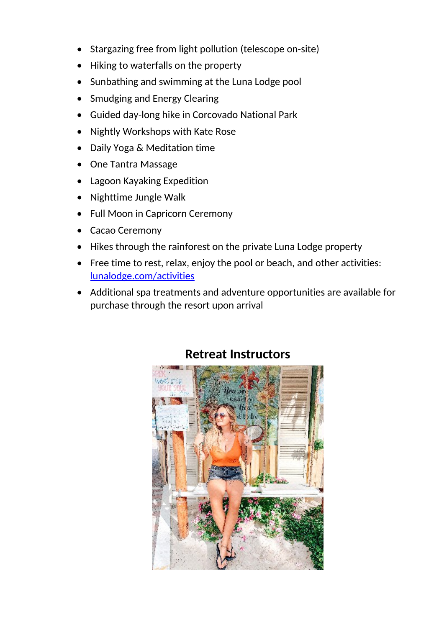- Stargazing free from light pollution (telescope on-site)
- Hiking to waterfalls on the property
- Sunbathing and swimming at the Luna Lodge pool
- Smudging and Energy Clearing
- Guided day-long hike in Corcovado National Park
- Nightly Workshops with Kate Rose
- Daily Yoga & Meditation time
- One Tantra Massage
- Lagoon Kayaking Expedition
- Nighttime Jungle Walk
- Full Moon in Capricorn Ceremony
- Cacao Ceremony
- Hikes through the rainforest on the private Luna Lodge property
- Free time to rest, relax, enjoy the pool or beach, and other activities: [lunalodge.com/activities](https://lunalodge.com/activities/)
- Additional spa treatments and adventure opportunities are available for purchase through the resort upon arrival



#### **Retreat Instructors**